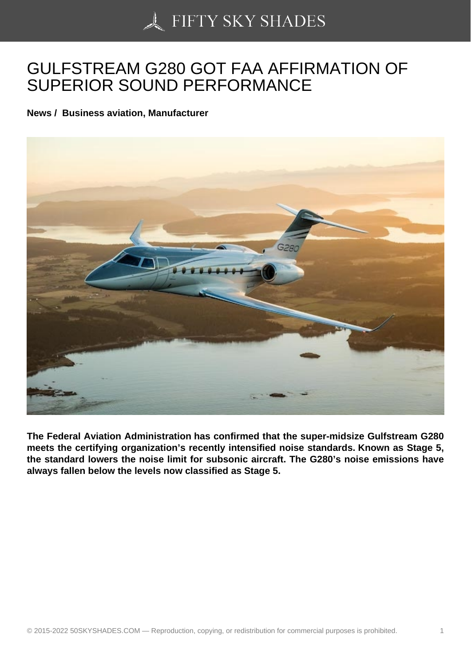## [GULFSTREAM G280 G](https://50skyshades.com)OT FAA AFFIRMATION OF SUPERIOR SOUND PERFORMANCE

News / Business aviation, Manufacturer

The Federal Aviation Administration has confirmed that the super-midsize Gulfstream G280 meets the certifying organization's recently intensified noise standards. Known as Stage 5, the standard lowers the noise limit for subsonic aircraft. The G280's noise emissions have always fallen below the levels now classified as Stage 5.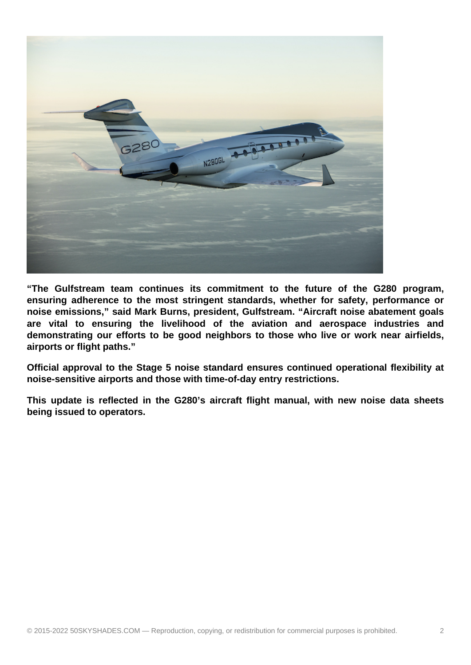

**"The Gulfstream team continues its commitment to the future of the G280 program, ensuring adherence to the most stringent standards, whether for safety, performance or noise emissions," said Mark Burns, president, Gulfstream. "Aircraft noise abatement goals are vital to ensuring the livelihood of the aviation and aerospace industries and demonstrating our efforts to be good neighbors to those who live or work near airfields, airports or flight paths."**

**Official approval to the Stage 5 noise standard ensures continued operational flexibility at noise-sensitive airports and those with time-of-day entry restrictions.**

**This update is reflected in the G280's aircraft flight manual, with new noise data sheets being issued to operators.**